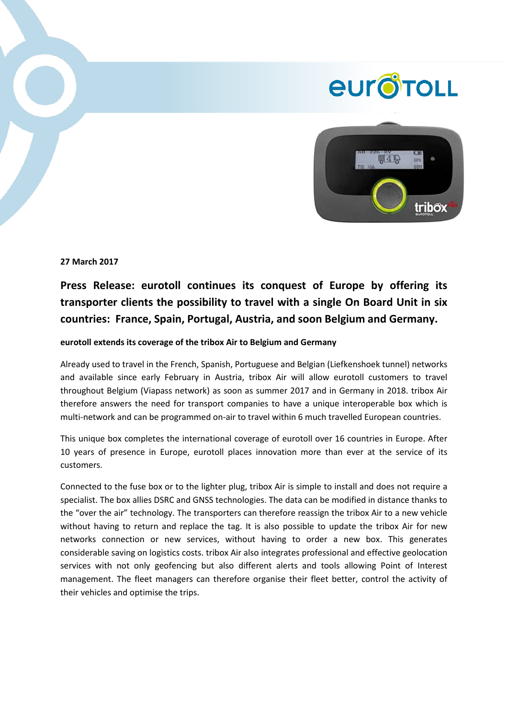## **eur** oroul



**27 March 2017**

**Press Release: eurotoll continues its conquest of Europe by offering its transporter clients the possibility to travel with a single On Board Unit in six countries: France, Spain, Portugal, Austria, and soon Belgium and Germany.**

## **eurotoll extends its coverage of the tribox Air to Belgium and Germany**

Already used to travel in the French, Spanish, Portuguese and Belgian (Liefkenshoek tunnel) networks and available since early February in Austria, tribox Air will allow eurotoll customers to travel throughout Belgium (Viapass network) as soon as summer 2017 and in Germany in 2018. tribox Air therefore answers the need for transport companies to have a unique interoperable box which is multi-network and can be programmed on-air to travel within 6 much travelled European countries.

This unique box completes the international coverage of eurotoll over 16 countries in Europe. After 10 years of presence in Europe, eurotoll places innovation more than ever at the service of its customers.

Connected to the fuse box or to the lighter plug, tribox Air is simple to install and does not require a specialist. The box allies DSRC and GNSS technologies. The data can be modified in distance thanks to the "over the air" technology. The transporters can therefore reassign the tribox Air to a new vehicle without having to return and replace the tag. It is also possible to update the tribox Air for new networks connection or new services, without having to order a new box. This generates considerable saving on logistics costs. tribox Air also integrates professional and effective geolocation services with not only geofencing but also different alerts and tools allowing Point of Interest management. The fleet managers can therefore organise their fleet better, control the activity of their vehicles and optimise the trips.